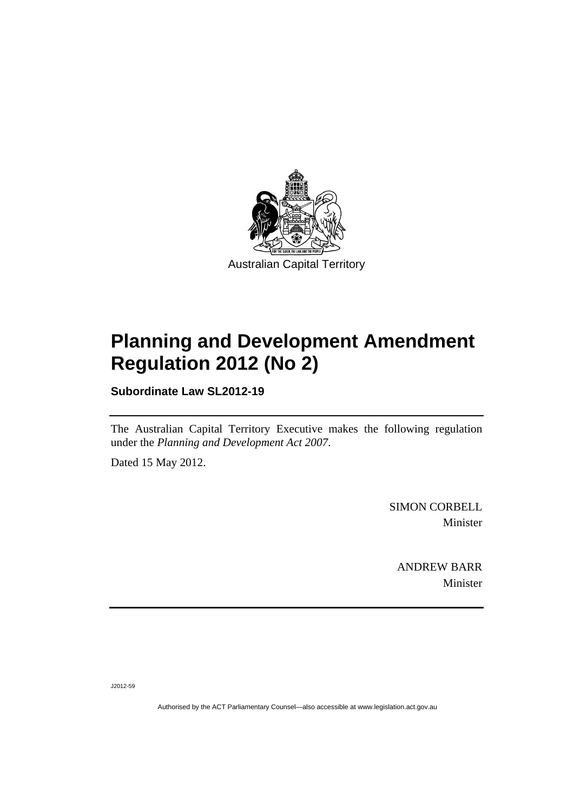

# **Planning and Development Amendment Regulation 2012 (No 2)**

**Subordinate Law SL2012-19** 

The Australian Capital Territory Executive makes the following regulation under the *Planning and Development Act 2007*.

Dated 15 May 2012.

SIMON CORBELL Minister

ANDREW BARR Minister

J2012-59

Authorised by the ACT Parliamentary Counsel—also accessible at www.legislation.act.gov.au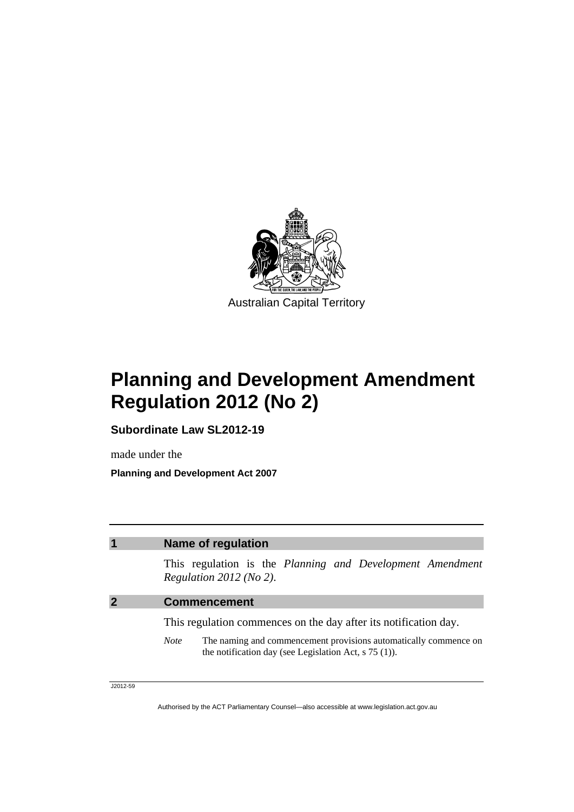

# **Planning and Development Amendment Regulation 2012 (No 2)**

**Subordinate Law SL2012-19** 

made under the

**Planning and Development Act 2007** 

### **1 Name of regulation**

This regulation is the *Planning and Development Amendment Regulation 2012 (No 2)*.

#### **2 Commencement**

This regulation commences on the day after its notification day.

*Note* The naming and commencement provisions automatically commence on the notification day (see Legislation Act, s 75 (1)).

J2012-59

Authorised by the ACT Parliamentary Counsel—also accessible at www.legislation.act.gov.au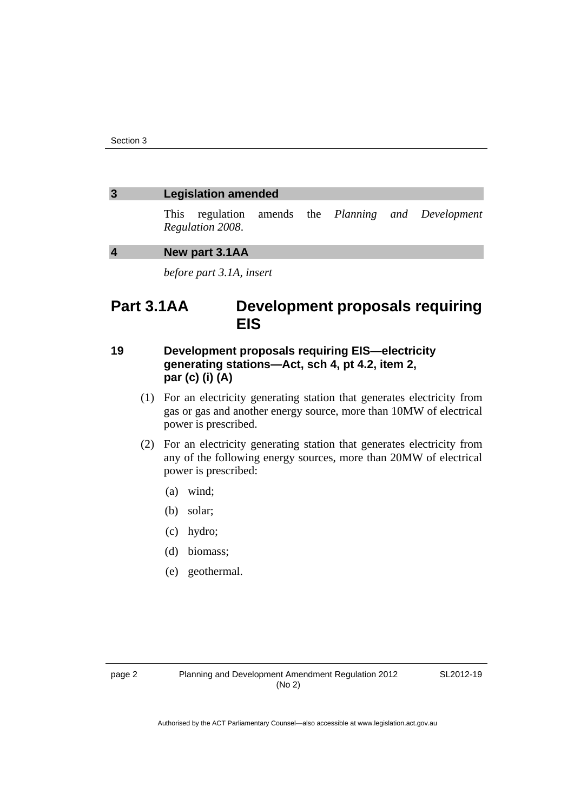#### **3 Legislation amended**

This regulation amends the *Planning and Development Regulation 2008*.

#### **4 New part 3.1AA**

*before part 3.1A, insert* 

# **Part 3.1AA Development proposals requiring EIS**

### **19 Development proposals requiring EIS—electricity generating stations—Act, sch 4, pt 4.2, item 2, par (c) (i) (A)**

- (1) For an electricity generating station that generates electricity from gas or gas and another energy source, more than 10MW of electrical power is prescribed.
- (2) For an electricity generating station that generates electricity from any of the following energy sources, more than 20MW of electrical power is prescribed:
	- (a) wind;
	- (b) solar;
	- (c) hydro;
	- (d) biomass;
	- (e) geothermal.

SL2012-19